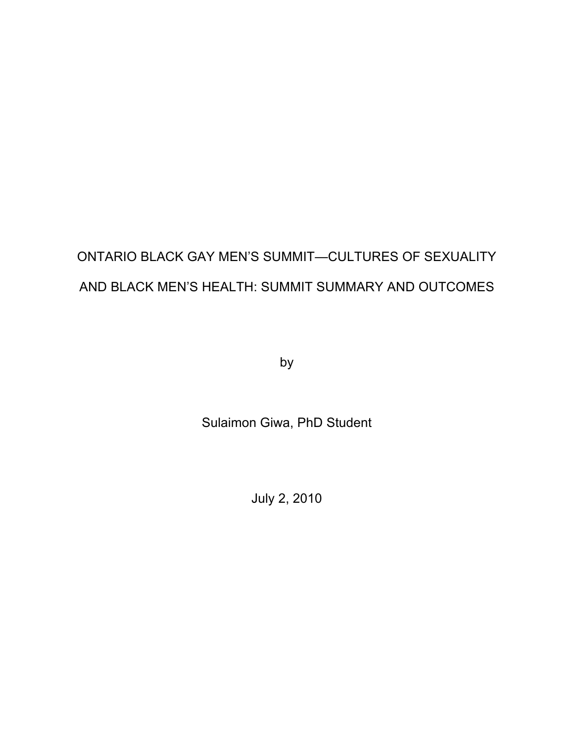# ONTARIO BLACK GAY MEN'S SUMMIT—CULTURES OF SEXUALITY AND BLACK MEN'S HEALTH: SUMMIT SUMMARY AND OUTCOMES

by

Sulaimon Giwa, PhD Student

July 2, 2010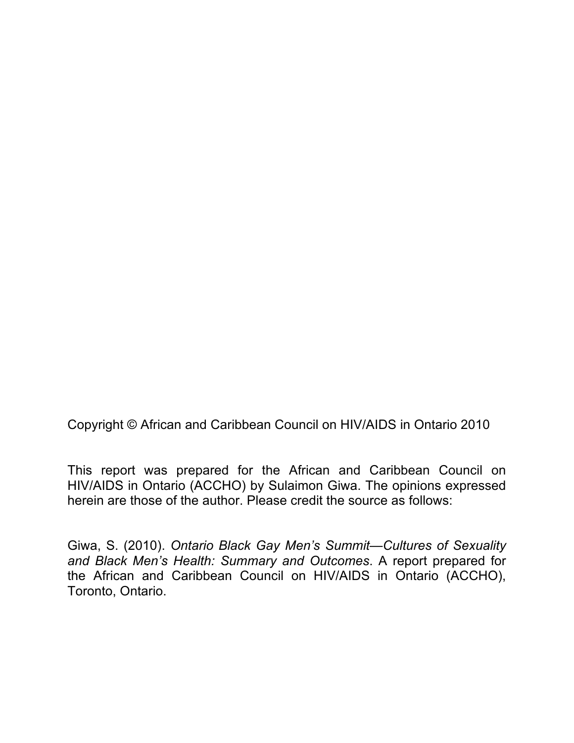Copyright © African and Caribbean Council on HIV/AIDS in Ontario 2010

This report was prepared for the African and Caribbean Council on HIV/AIDS in Ontario (ACCHO) by Sulaimon Giwa. The opinions expressed herein are those of the author. Please credit the source as follows:

Giwa, S. (2010). *Ontario Black Gay Men's Summit—Cultures of Sexuality and Black Men's Health: Summary and Outcomes*. A report prepared for the African and Caribbean Council on HIV/AIDS in Ontario (ACCHO), Toronto, Ontario.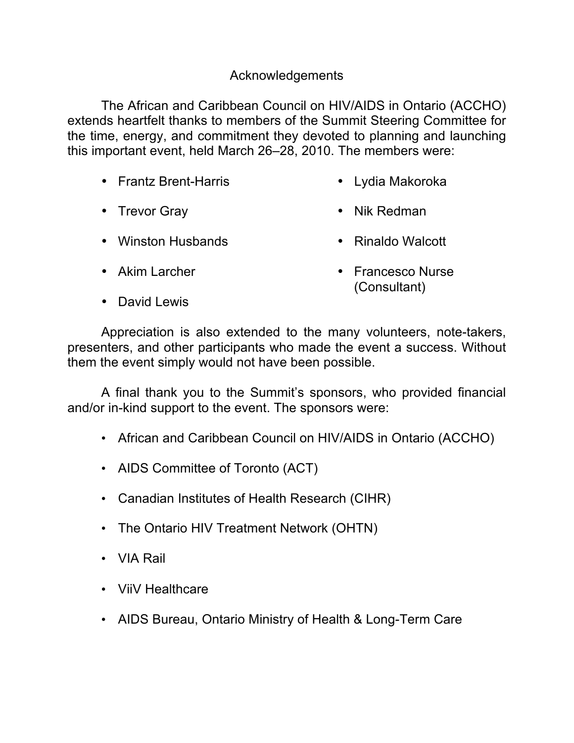## Acknowledgements

The African and Caribbean Council on HIV/AIDS in Ontario (ACCHO) extends heartfelt thanks to members of the Summit Steering Committee for the time, energy, and commitment they devoted to planning and launching this important event, held March 26–28, 2010. The members were:

- Frantz Brent-Harris • Lydia Makoroka
- Trevor Gray • Nik Redman
- Winston Husbands • Rinaldo Walcott
- Akim Larcher

• Francesco Nurse (Consultant)

• David Lewis

Appreciation is also extended to the many volunteers, note-takers, presenters, and other participants who made the event a success. Without them the event simply would not have been possible.

A final thank you to the Summit's sponsors, who provided financial and/or in-kind support to the event. The sponsors were:

- African and Caribbean Council on HIV/AIDS in Ontario (ACCHO)
- AIDS Committee of Toronto (ACT)
- Canadian Institutes of Health Research (CIHR)
- The Ontario HIV Treatment Network (OHTN)
- VIA Rail
- ViiV Healthcare
- AIDS Bureau, Ontario Ministry of Health & Long-Term Care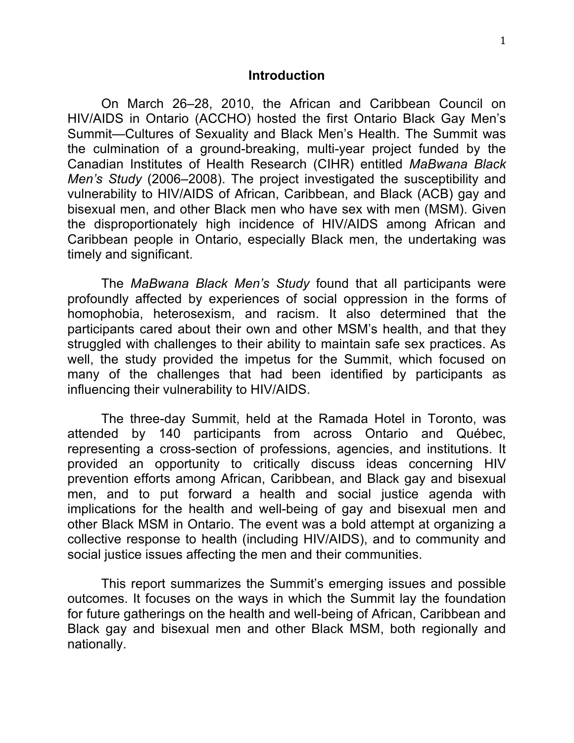#### **Introduction**

On March 26–28, 2010, the African and Caribbean Council on HIV/AIDS in Ontario (ACCHO) hosted the first Ontario Black Gay Men's Summit—Cultures of Sexuality and Black Men's Health. The Summit was the culmination of a ground-breaking, multi-year project funded by the Canadian Institutes of Health Research (CIHR) entitled *MaBwana Black Men's Study* (2006–2008). The project investigated the susceptibility and vulnerability to HIV/AIDS of African, Caribbean, and Black (ACB) gay and bisexual men, and other Black men who have sex with men (MSM). Given the disproportionately high incidence of HIV/AIDS among African and Caribbean people in Ontario, especially Black men, the undertaking was timely and significant.

The *MaBwana Black Men's Study* found that all participants were profoundly affected by experiences of social oppression in the forms of homophobia, heterosexism, and racism. It also determined that the participants cared about their own and other MSM's health, and that they struggled with challenges to their ability to maintain safe sex practices. As well, the study provided the impetus for the Summit, which focused on many of the challenges that had been identified by participants as influencing their vulnerability to HIV/AIDS.

The three-day Summit, held at the Ramada Hotel in Toronto, was attended by 140 participants from across Ontario and Québec, representing a cross-section of professions, agencies, and institutions. It provided an opportunity to critically discuss ideas concerning HIV prevention efforts among African, Caribbean, and Black gay and bisexual men, and to put forward a health and social justice agenda with implications for the health and well-being of gay and bisexual men and other Black MSM in Ontario. The event was a bold attempt at organizing a collective response to health (including HIV/AIDS), and to community and social justice issues affecting the men and their communities.

This report summarizes the Summit's emerging issues and possible outcomes. It focuses on the ways in which the Summit lay the foundation for future gatherings on the health and well-being of African, Caribbean and Black gay and bisexual men and other Black MSM, both regionally and nationally.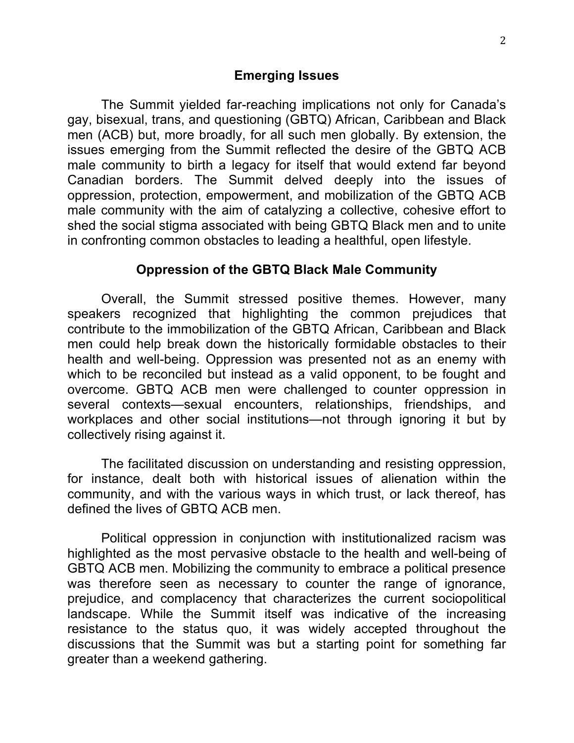The Summit yielded far-reaching implications not only for Canada's gay, bisexual, trans, and questioning (GBTQ) African, Caribbean and Black men (ACB) but, more broadly, for all such men globally. By extension, the issues emerging from the Summit reflected the desire of the GBTQ ACB male community to birth a legacy for itself that would extend far beyond Canadian borders. The Summit delved deeply into the issues of oppression, protection, empowerment, and mobilization of the GBTQ ACB male community with the aim of catalyzing a collective, cohesive effort to shed the social stigma associated with being GBTQ Black men and to unite in confronting common obstacles to leading a healthful, open lifestyle.

#### **Oppression of the GBTQ Black Male Community**

Overall, the Summit stressed positive themes. However, many speakers recognized that highlighting the common prejudices that contribute to the immobilization of the GBTQ African, Caribbean and Black men could help break down the historically formidable obstacles to their health and well-being. Oppression was presented not as an enemy with which to be reconciled but instead as a valid opponent, to be fought and overcome. GBTQ ACB men were challenged to counter oppression in several contexts—sexual encounters, relationships, friendships, and workplaces and other social institutions—not through ignoring it but by collectively rising against it.

The facilitated discussion on understanding and resisting oppression, for instance, dealt both with historical issues of alienation within the community, and with the various ways in which trust, or lack thereof, has defined the lives of GBTQ ACB men.

Political oppression in conjunction with institutionalized racism was highlighted as the most pervasive obstacle to the health and well-being of GBTQ ACB men. Mobilizing the community to embrace a political presence was therefore seen as necessary to counter the range of ignorance, prejudice, and complacency that characterizes the current sociopolitical landscape. While the Summit itself was indicative of the increasing resistance to the status quo, it was widely accepted throughout the discussions that the Summit was but a starting point for something far greater than a weekend gathering.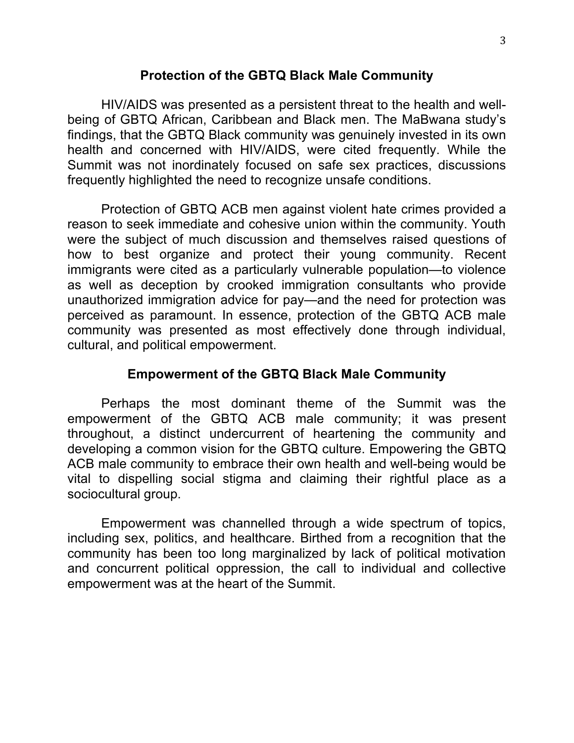### **Protection of the GBTQ Black Male Community**

HIV/AIDS was presented as a persistent threat to the health and wellbeing of GBTQ African, Caribbean and Black men. The MaBwana study's findings, that the GBTQ Black community was genuinely invested in its own health and concerned with HIV/AIDS, were cited frequently. While the Summit was not inordinately focused on safe sex practices, discussions frequently highlighted the need to recognize unsafe conditions.

Protection of GBTQ ACB men against violent hate crimes provided a reason to seek immediate and cohesive union within the community. Youth were the subject of much discussion and themselves raised questions of how to best organize and protect their young community. Recent immigrants were cited as a particularly vulnerable population—to violence as well as deception by crooked immigration consultants who provide unauthorized immigration advice for pay—and the need for protection was perceived as paramount. In essence, protection of the GBTQ ACB male community was presented as most effectively done through individual, cultural, and political empowerment.

#### **Empowerment of the GBTQ Black Male Community**

Perhaps the most dominant theme of the Summit was the empowerment of the GBTQ ACB male community; it was present throughout, a distinct undercurrent of heartening the community and developing a common vision for the GBTQ culture. Empowering the GBTQ ACB male community to embrace their own health and well-being would be vital to dispelling social stigma and claiming their rightful place as a sociocultural group.

Empowerment was channelled through a wide spectrum of topics, including sex, politics, and healthcare. Birthed from a recognition that the community has been too long marginalized by lack of political motivation and concurrent political oppression, the call to individual and collective empowerment was at the heart of the Summit.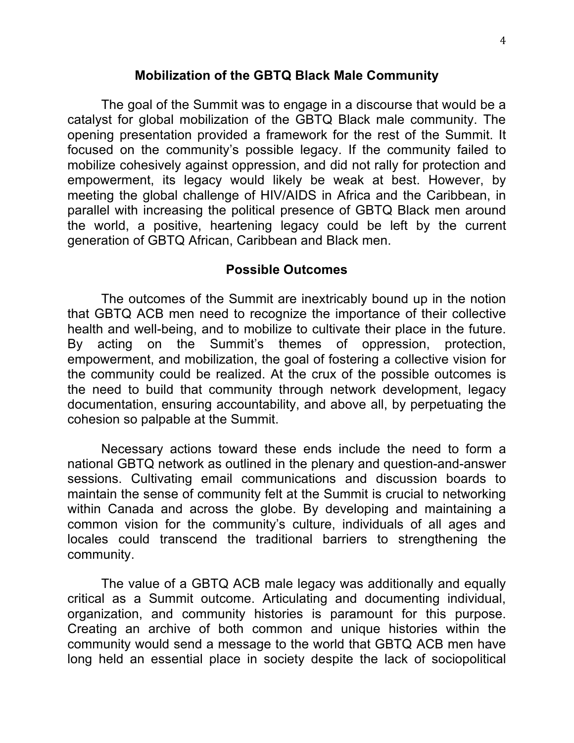#### **Mobilization of the GBTQ Black Male Community**

The goal of the Summit was to engage in a discourse that would be a catalyst for global mobilization of the GBTQ Black male community. The opening presentation provided a framework for the rest of the Summit. It focused on the community's possible legacy. If the community failed to mobilize cohesively against oppression, and did not rally for protection and empowerment, its legacy would likely be weak at best. However, by meeting the global challenge of HIV/AIDS in Africa and the Caribbean, in parallel with increasing the political presence of GBTQ Black men around the world, a positive, heartening legacy could be left by the current generation of GBTQ African, Caribbean and Black men.

#### **Possible Outcomes**

The outcomes of the Summit are inextricably bound up in the notion that GBTQ ACB men need to recognize the importance of their collective health and well-being, and to mobilize to cultivate their place in the future. By acting on the Summit's themes of oppression, protection, empowerment, and mobilization, the goal of fostering a collective vision for the community could be realized. At the crux of the possible outcomes is the need to build that community through network development, legacy documentation, ensuring accountability, and above all, by perpetuating the cohesion so palpable at the Summit.

Necessary actions toward these ends include the need to form a national GBTQ network as outlined in the plenary and question-and-answer sessions. Cultivating email communications and discussion boards to maintain the sense of community felt at the Summit is crucial to networking within Canada and across the globe. By developing and maintaining a common vision for the community's culture, individuals of all ages and locales could transcend the traditional barriers to strengthening the community.

The value of a GBTQ ACB male legacy was additionally and equally critical as a Summit outcome. Articulating and documenting individual, organization, and community histories is paramount for this purpose. Creating an archive of both common and unique histories within the community would send a message to the world that GBTQ ACB men have long held an essential place in society despite the lack of sociopolitical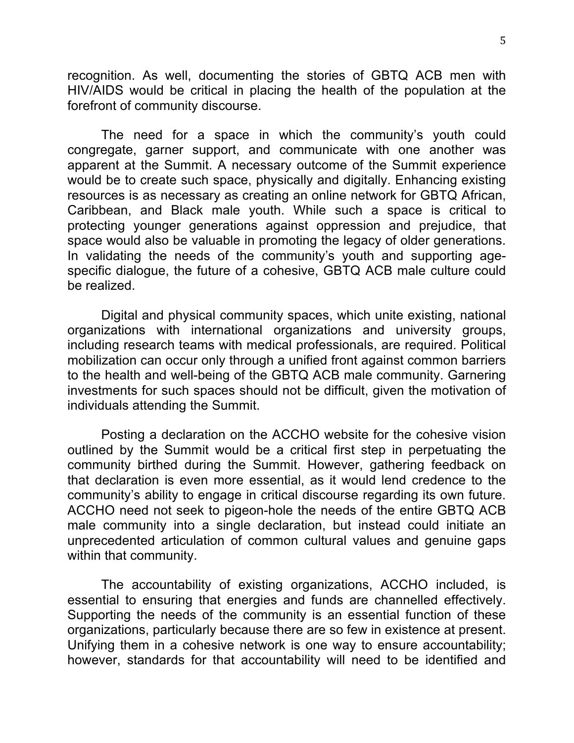recognition. As well, documenting the stories of GBTQ ACB men with HIV/AIDS would be critical in placing the health of the population at the forefront of community discourse.

The need for a space in which the community's youth could congregate, garner support, and communicate with one another was apparent at the Summit. A necessary outcome of the Summit experience would be to create such space, physically and digitally. Enhancing existing resources is as necessary as creating an online network for GBTQ African, Caribbean, and Black male youth. While such a space is critical to protecting younger generations against oppression and prejudice, that space would also be valuable in promoting the legacy of older generations. In validating the needs of the community's youth and supporting agespecific dialogue, the future of a cohesive, GBTQ ACB male culture could be realized.

Digital and physical community spaces, which unite existing, national organizations with international organizations and university groups, including research teams with medical professionals, are required. Political mobilization can occur only through a unified front against common barriers to the health and well-being of the GBTQ ACB male community. Garnering investments for such spaces should not be difficult, given the motivation of individuals attending the Summit.

Posting a declaration on the ACCHO website for the cohesive vision outlined by the Summit would be a critical first step in perpetuating the community birthed during the Summit. However, gathering feedback on that declaration is even more essential, as it would lend credence to the community's ability to engage in critical discourse regarding its own future. ACCHO need not seek to pigeon-hole the needs of the entire GBTQ ACB male community into a single declaration, but instead could initiate an unprecedented articulation of common cultural values and genuine gaps within that community.

The accountability of existing organizations, ACCHO included, is essential to ensuring that energies and funds are channelled effectively. Supporting the needs of the community is an essential function of these organizations, particularly because there are so few in existence at present. Unifying them in a cohesive network is one way to ensure accountability; however, standards for that accountability will need to be identified and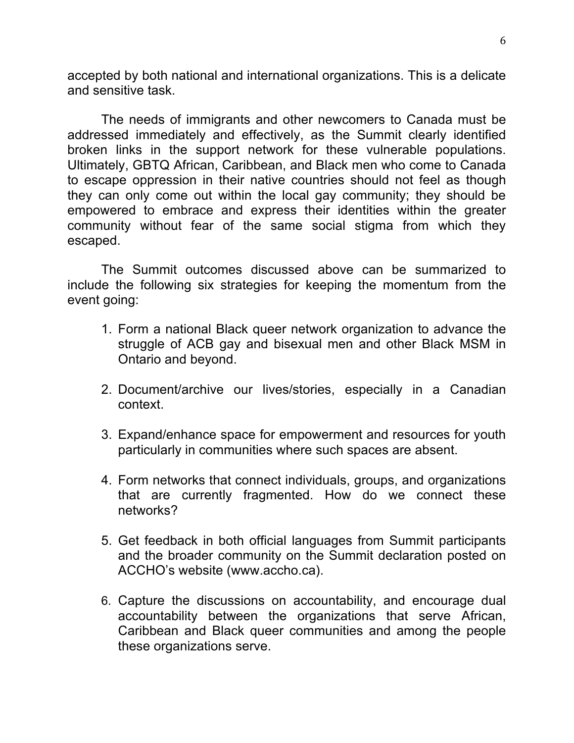accepted by both national and international organizations. This is a delicate and sensitive task.

The needs of immigrants and other newcomers to Canada must be addressed immediately and effectively, as the Summit clearly identified broken links in the support network for these vulnerable populations. Ultimately, GBTQ African, Caribbean, and Black men who come to Canada to escape oppression in their native countries should not feel as though they can only come out within the local gay community; they should be empowered to embrace and express their identities within the greater community without fear of the same social stigma from which they escaped.

The Summit outcomes discussed above can be summarized to include the following six strategies for keeping the momentum from the event going:

- 1. Form a national Black queer network organization to advance the struggle of ACB gay and bisexual men and other Black MSM in Ontario and beyond.
- 2. Document/archive our lives/stories, especially in a Canadian context.
- 3. Expand/enhance space for empowerment and resources for youth particularly in communities where such spaces are absent.
- 4. Form networks that connect individuals, groups, and organizations that are currently fragmented. How do we connect these networks?
- 5. Get feedback in both official languages from Summit participants and the broader community on the Summit declaration posted on ACCHO's website (www.accho.ca).
- 6. Capture the discussions on accountability, and encourage dual accountability between the organizations that serve African, Caribbean and Black queer communities and among the people these organizations serve.